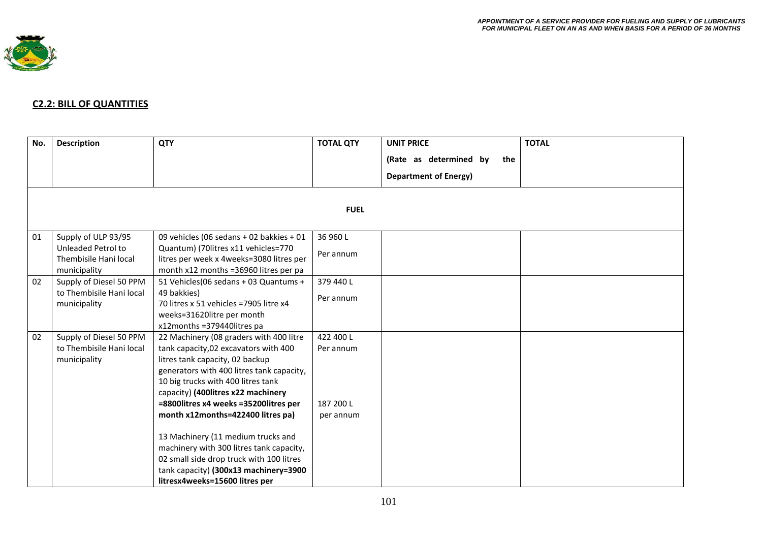

## **C2.2: BILL OF QUANTITIES**

| No. | <b>Description</b>                                                  | <b>QTY</b>                                                                                                                                                                                                                                                                                                                                                                                                                                                                                                                          | <b>TOTAL QTY</b>                                 | <b>UNIT PRICE</b>             | <b>TOTAL</b> |  |
|-----|---------------------------------------------------------------------|-------------------------------------------------------------------------------------------------------------------------------------------------------------------------------------------------------------------------------------------------------------------------------------------------------------------------------------------------------------------------------------------------------------------------------------------------------------------------------------------------------------------------------------|--------------------------------------------------|-------------------------------|--------------|--|
|     |                                                                     |                                                                                                                                                                                                                                                                                                                                                                                                                                                                                                                                     |                                                  | (Rate as determined by<br>the |              |  |
|     |                                                                     |                                                                                                                                                                                                                                                                                                                                                                                                                                                                                                                                     |                                                  | <b>Department of Energy)</b>  |              |  |
|     | <b>FUEL</b>                                                         |                                                                                                                                                                                                                                                                                                                                                                                                                                                                                                                                     |                                                  |                               |              |  |
| 01  | Supply of ULP 93/95<br>Unleaded Petrol to                           | 09 vehicles (06 sedans + 02 bakkies + 01<br>Quantum) (70litres x11 vehicles=770                                                                                                                                                                                                                                                                                                                                                                                                                                                     | 36 960 L<br>Per annum                            |                               |              |  |
|     | Thembisile Hani local<br>municipality                               | litres per week x 4weeks=3080 litres per<br>month x12 months =36960 litres per pa                                                                                                                                                                                                                                                                                                                                                                                                                                                   |                                                  |                               |              |  |
| 02  | Supply of Diesel 50 PPM<br>to Thembisile Hani local<br>municipality | 51 Vehicles(06 sedans + 03 Quantums +<br>49 bakkies)<br>70 litres x 51 vehicles = 7905 litre x4<br>weeks=31620litre per month<br>x12months =379440litres pa                                                                                                                                                                                                                                                                                                                                                                         | 379 440 L<br>Per annum                           |                               |              |  |
| 02  | Supply of Diesel 50 PPM<br>to Thembisile Hani local<br>municipality | 22 Machinery (08 graders with 400 litre<br>tank capacity, 02 excavators with 400<br>litres tank capacity, 02 backup<br>generators with 400 litres tank capacity,<br>10 big trucks with 400 litres tank<br>capacity) (400litres x22 machinery<br>=8800litres x4 weeks =35200litres per<br>month x12months=422400 litres pa)<br>13 Machinery (11 medium trucks and<br>machinery with 300 litres tank capacity,<br>02 small side drop truck with 100 litres<br>tank capacity) (300x13 machinery=3900<br>litresx4weeks=15600 litres per | 422 400 L<br>Per annum<br>187 200 L<br>per annum |                               |              |  |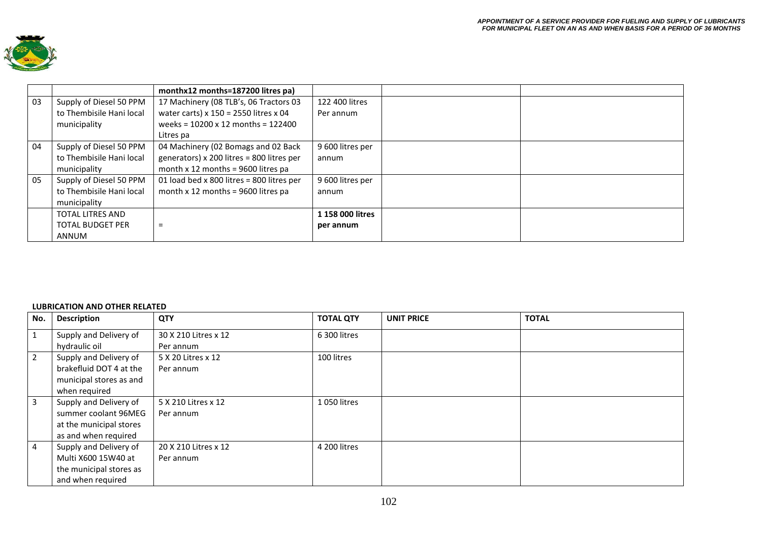

|    |                          | monthx12 months=187200 litres pa)           |                  |  |
|----|--------------------------|---------------------------------------------|------------------|--|
| 03 | Supply of Diesel 50 PPM  | 17 Machinery (08 TLB's, 06 Tractors 03      | 122 400 litres   |  |
|    | to Thembisile Hani local | water carts) x $150 = 2550$ litres x 04     | Per annum        |  |
|    | municipality             | weeks = $10200 \times 12$ months = $122400$ |                  |  |
|    |                          | Litres pa                                   |                  |  |
| 04 | Supply of Diesel 50 PPM  | 04 Machinery (02 Bomags and 02 Back         | 9 600 litres per |  |
|    | to Thembisile Hani local | generators) x 200 litres = 800 litres per   | annum            |  |
|    | municipality             | month x 12 months = $9600$ litres pa        |                  |  |
| 05 | Supply of Diesel 50 PPM  | 01 load bed x 800 litres = 800 litres per   | 9 600 litres per |  |
|    | to Thembisile Hani local | month $x$ 12 months = 9600 litres pa        | annum            |  |
|    | municipality             |                                             |                  |  |
|    | <b>TOTAL LITRES AND</b>  |                                             | 1 158 000 litres |  |
|    | <b>TOTAL BUDGET PER</b>  | Ξ                                           | per annum        |  |
|    | <b>ANNUM</b>             |                                             |                  |  |

## **LUBRICATION AND OTHER RELATED**

| No.            | <b>Description</b>      | <b>QTY</b>           | <b>TOTAL QTY</b> | <b>UNIT PRICE</b> | <b>TOTAL</b> |
|----------------|-------------------------|----------------------|------------------|-------------------|--------------|
| 1              | Supply and Delivery of  | 30 X 210 Litres x 12 | 6 300 litres     |                   |              |
|                | hydraulic oil           | Per annum            |                  |                   |              |
| $\overline{2}$ | Supply and Delivery of  | 5 X 20 Litres x 12   | 100 litres       |                   |              |
|                | brakefluid DOT 4 at the | Per annum            |                  |                   |              |
|                | municipal stores as and |                      |                  |                   |              |
|                | when required           |                      |                  |                   |              |
| 3              | Supply and Delivery of  | 5 X 210 Litres x 12  | 1 050 litres     |                   |              |
|                | summer coolant 96MEG    | Per annum            |                  |                   |              |
|                | at the municipal stores |                      |                  |                   |              |
|                | as and when required    |                      |                  |                   |              |
| 4              | Supply and Delivery of  | 20 X 210 Litres x 12 | 4 200 litres     |                   |              |
|                | Multi X600 15W40 at     | Per annum            |                  |                   |              |
|                | the municipal stores as |                      |                  |                   |              |
|                | and when required       |                      |                  |                   |              |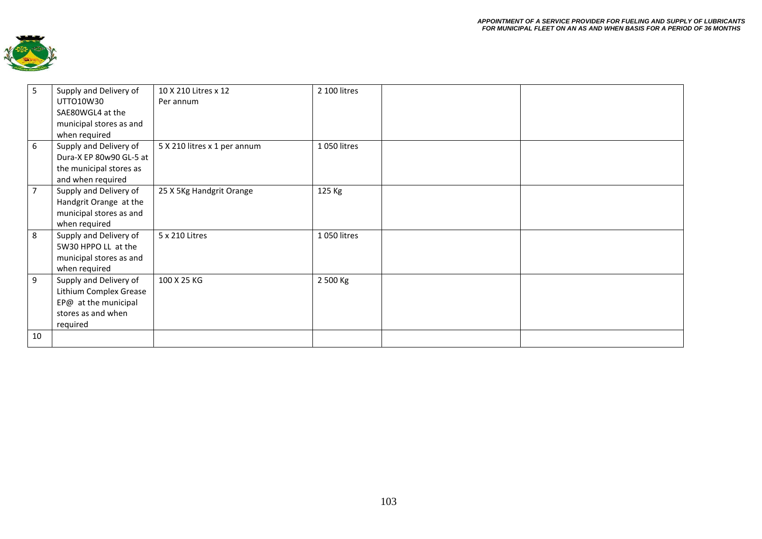

| 5              | Supply and Delivery of<br>UTTO10W30<br>SAE80WGL4 at the<br>municipal stores as and<br>when required        | 10 X 210 Litres x 12<br>Per annum | 2 100 litres |  |
|----------------|------------------------------------------------------------------------------------------------------------|-----------------------------------|--------------|--|
| 6              | Supply and Delivery of<br>Dura-X EP 80w90 GL-5 at<br>the municipal stores as<br>and when required          | 5 X 210 litres x 1 per annum      | 1050 litres  |  |
| $\overline{7}$ | Supply and Delivery of<br>Handgrit Orange at the<br>municipal stores as and<br>when required               | 25 X 5Kg Handgrit Orange          | 125 Kg       |  |
| 8              | Supply and Delivery of<br>5W30 HPPO LL at the<br>municipal stores as and<br>when required                  | 5 x 210 Litres                    | 1 050 litres |  |
| 9              | Supply and Delivery of<br>Lithium Complex Grease<br>EP@ at the municipal<br>stores as and when<br>required | 100 X 25 KG                       | 2 500 Kg     |  |
| 10             |                                                                                                            |                                   |              |  |